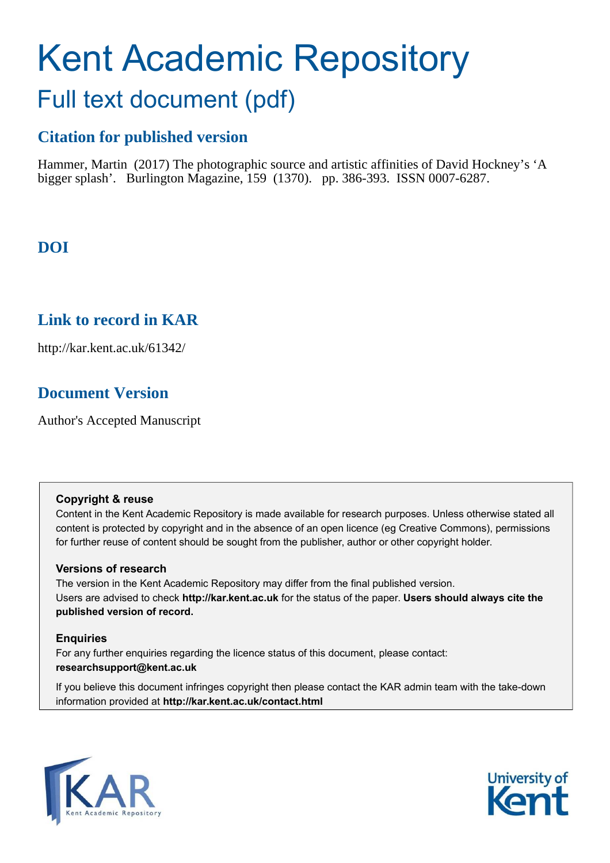# Kent Academic Repository Full text document (pdf)

### **Citation for published version**

Hammer, Martin (2017) The photographic source and artistic affinities of David Hockney's 'A bigger splash'. Burlington Magazine, 159 (1370). pp. 386-393. ISSN 0007-6287.

## **DOI**

## **Link to record in KAR**

http://kar.kent.ac.uk/61342/

## **Document Version**

Author's Accepted Manuscript

#### **Copyright & reuse**

Content in the Kent Academic Repository is made available for research purposes. Unless otherwise stated all content is protected by copyright and in the absence of an open licence (eg Creative Commons), permissions for further reuse of content should be sought from the publisher, author or other copyright holder.

#### **Versions of research**

The version in the Kent Academic Repository may differ from the final published version. Users are advised to check **http://kar.kent.ac.uk** for the status of the paper. **Users should always cite the published version of record.**

#### **Enquiries**

For any further enquiries regarding the licence status of this document, please contact: **researchsupport@kent.ac.uk**

If you believe this document infringes copyright then please contact the KAR admin team with the take-down information provided at **http://kar.kent.ac.uk/contact.html**



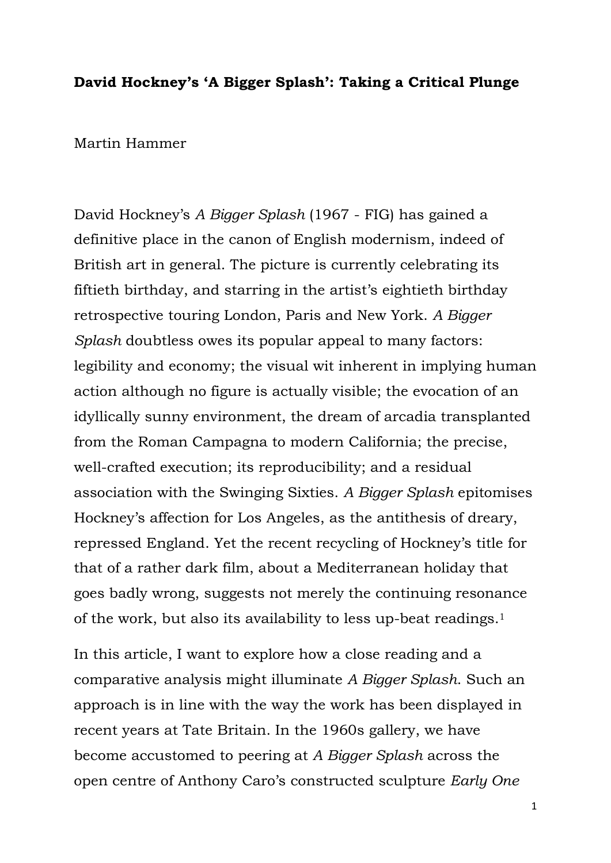#### **David Hockney's 'A Bigger Splash': Taking a Critical Plunge**

Martin Hammer

David Hockney's *A Bigger Splash* (1967 - FIG) has gained a definitive place in the canon of English modernism, indeed of British art in general. The picture is currently celebrating its fiftieth birthday, and starring in the artist's eightieth birthday retrospective touring London, Paris and New York. *A Bigger Splash* doubtless owes its popular appeal to many factors: legibility and economy; the visual wit inherent in implying human action although no figure is actually visible; the evocation of an idyllically sunny environment, the dream of arcadia transplanted from the Roman Campagna to modern California; the precise, well-crafted execution; its reproducibility; and a residual association with the Swinging Sixties. *A Bigger Splash* epitomises Hockney's affection for Los Angeles, as the antithesis of dreary, repressed England. Yet the recent recycling of Hockney's title for that of a rather dark film, about a Mediterranean holiday that goes badly wrong, suggests not merely the continuing resonance of the work, but also its availability to less up-beat readings.<sup>1</sup>

In this article, I want to explore how a close reading and a comparative analysis might illuminate *A Bigger Splash*. Such an approach is in line with the way the work has been displayed in recent years at Tate Britain. In the 1960s gallery, we have become accustomed to peering at *A Bigger Splash* across the open centre of Anthony Caro's constructed sculpture *Early One*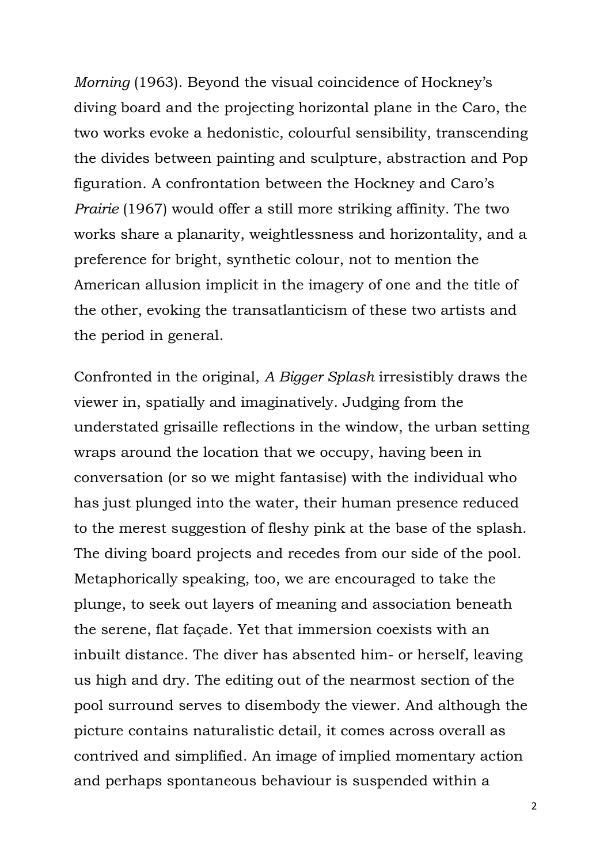*Morning* (1963). Beyond the visual coincidence of Hockney's diving board and the projecting horizontal plane in the Caro, the two works evoke a hedonistic, colourful sensibility, transcending the divides between painting and sculpture, abstraction and Pop figuration. A confrontation between the Hockney and Caro's *Prairie* (1967) would offer a still more striking affinity. The two works share a planarity, weightlessness and horizontality, and a preference for bright, synthetic colour, not to mention the American allusion implicit in the imagery of one and the title of the other, evoking the transatlanticism of these two artists and the period in general.

Confronted in the original, *A Bigger Splash* irresistibly draws the viewer in, spatially and imaginatively. Judging from the understated grisaille reflections in the window, the urban setting wraps around the location that we occupy, having been in conversation (or so we might fantasise) with the individual who has just plunged into the water, their human presence reduced to the merest suggestion of fleshy pink at the base of the splash. The diving board projects and recedes from our side of the pool. Metaphorically speaking, too, we are encouraged to take the plunge, to seek out layers of meaning and association beneath the serene, flat façade. Yet that immersion coexists with an inbuilt distance. The diver has absented him- or herself, leaving us high and dry. The editing out of the nearmost section of the pool surround serves to disembody the viewer. And although the picture contains naturalistic detail, it comes across overall as contrived and simplified. An image of implied momentary action and perhaps spontaneous behaviour is suspended within a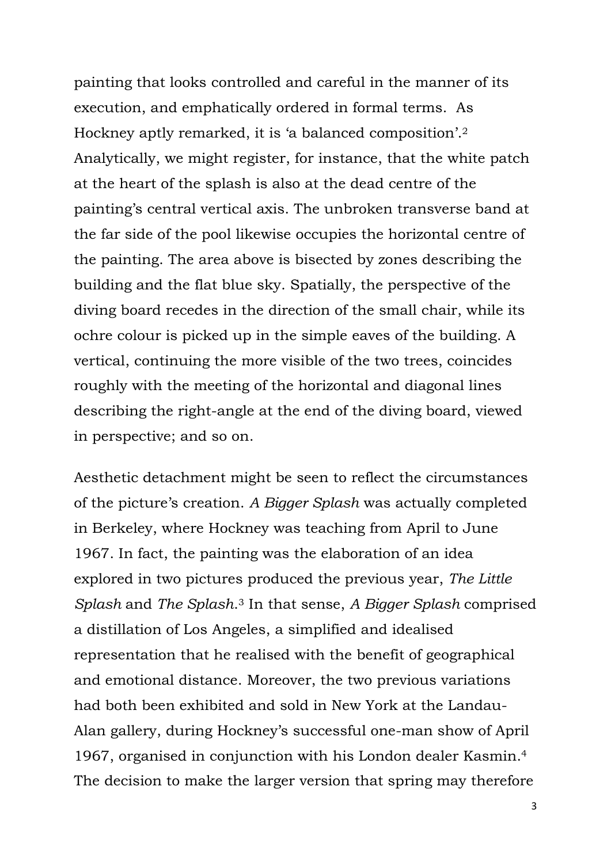painting that looks controlled and careful in the manner of its execution, and emphatically ordered in formal terms. As Hockney aptly remarked, it is 'a balanced composition'.<sup>2</sup> Analytically, we might register, for instance, that the white patch at the heart of the splash is also at the dead centre of the painting's central vertical axis. The unbroken transverse band at the far side of the pool likewise occupies the horizontal centre of the painting. The area above is bisected by zones describing the building and the flat blue sky. Spatially, the perspective of the diving board recedes in the direction of the small chair, while its ochre colour is picked up in the simple eaves of the building. A vertical, continuing the more visible of the two trees, coincides roughly with the meeting of the horizontal and diagonal lines describing the right-angle at the end of the diving board, viewed in perspective; and so on.

Aesthetic detachment might be seen to reflect the circumstances of the picture's creation. *A Bigger Splash* was actually completed in Berkeley, where Hockney was teaching from April to June 1967. In fact, the painting was the elaboration of an idea explored in two pictures produced the previous year, *The Little Splash* and *The Splash*. <sup>3</sup> In that sense, *A Bigger Splash* comprised a distillation of Los Angeles, a simplified and idealised representation that he realised with the benefit of geographical and emotional distance. Moreover, the two previous variations had both been exhibited and sold in New York at the Landau-Alan gallery, during Hockney's successful one-man show of April 1967, organised in conjunction with his London dealer Kasmin.<sup>4</sup> The decision to make the larger version that spring may therefore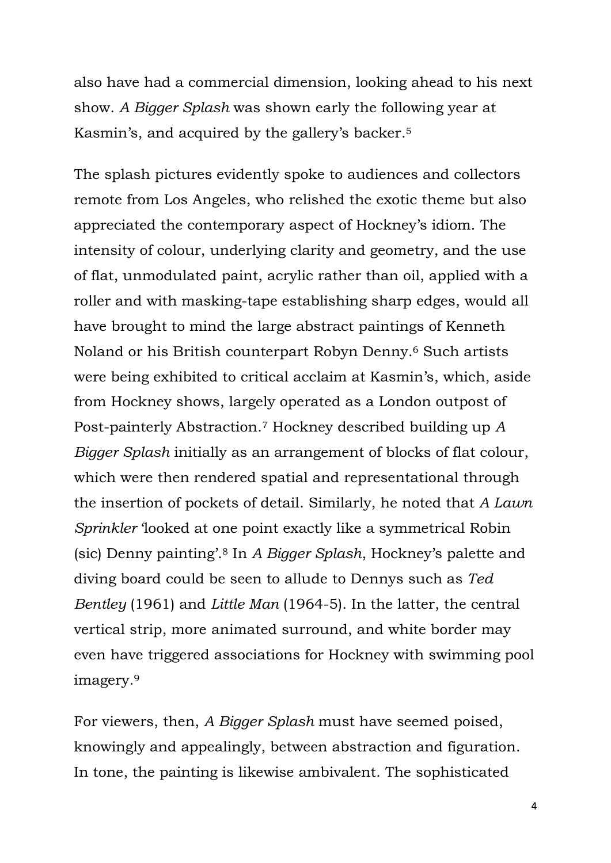also have had a commercial dimension, looking ahead to his next show. *A Bigger Splash* was shown early the following year at Kasmin's, and acquired by the gallery's backer. 5

The splash pictures evidently spoke to audiences and collectors remote from Los Angeles, who relished the exotic theme but also appreciated the contemporary aspect of Hockney's idiom. The intensity of colour, underlying clarity and geometry, and the use of flat, unmodulated paint, acrylic rather than oil, applied with a roller and with masking-tape establishing sharp edges, would all have brought to mind the large abstract paintings of Kenneth Noland or his British counterpart Robyn Denny.6 Such artists were being exhibited to critical acclaim at Kasmin's, which, aside from Hockney shows, largely operated as a London outpost of Post-painterly Abstraction.7 Hockney described building up *A Bigger Splash* initially as an arrangement of blocks of flat colour, which were then rendered spatial and representational through the insertion of pockets of detail. Similarly, he noted that *A Lawn Sprinkler* 'looked at one point exactly like a symmetrical Robin (sic) Denny painting'.8 In *A Bigger Splash*, Hockney's palette and diving board could be seen to allude to Dennys such as *Ted Bentley* (1961) and *Little Man* (1964-5). In the latter, the central vertical strip, more animated surround, and white border may even have triggered associations for Hockney with swimming pool imagery.<sup>9</sup>

For viewers, then, *A Bigger Splash* must have seemed poised, knowingly and appealingly, between abstraction and figuration. In tone, the painting is likewise ambivalent. The sophisticated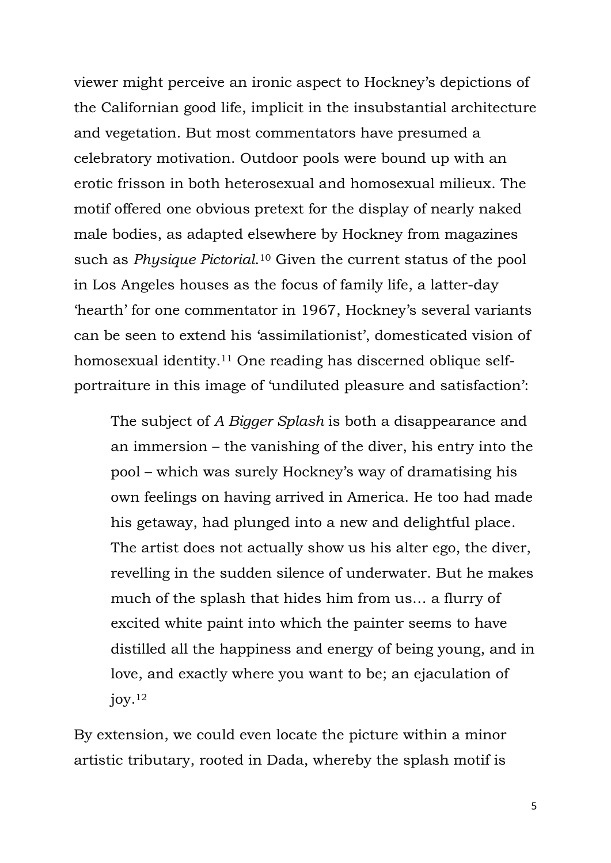viewer might perceive an ironic aspect to Hockney's depictions of the Californian good life, implicit in the insubstantial architecture and vegetation. But most commentators have presumed a celebratory motivation. Outdoor pools were bound up with an erotic frisson in both heterosexual and homosexual milieux. The motif offered one obvious pretext for the display of nearly naked male bodies, as adapted elsewhere by Hockney from magazines such as *Physique Pictorial*. <sup>10</sup> Given the current status of the pool in Los Angeles houses as the focus of family life, a latter-day 'hearth' for one commentator in 1967, Hockney's several variants can be seen to extend his 'assimilationist', domesticated vision of homosexual identity.11 One reading has discerned oblique selfportraiture in this image of 'undiluted pleasure and satisfaction':

The subject of *A Bigger Splash* is both a disappearance and an immersion – the vanishing of the diver, his entry into the pool – which was surely Hockney's way of dramatising his own feelings on having arrived in America. He too had made his getaway, had plunged into a new and delightful place. The artist does not actually show us his alter ego, the diver, revelling in the sudden silence of underwater. But he makes much of the splash that hides him from us… a flurry of excited white paint into which the painter seems to have distilled all the happiness and energy of being young, and in love, and exactly where you want to be; an ejaculation of  $j$ oy.<sup>12</sup>

By extension, we could even locate the picture within a minor artistic tributary, rooted in Dada, whereby the splash motif is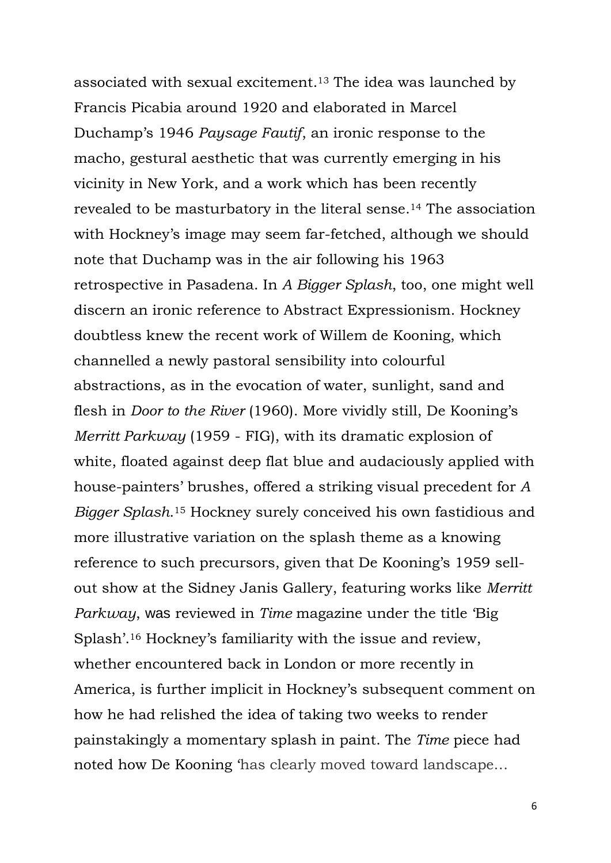associated with sexual excitement.<sup>13</sup> The idea was launched by Francis Picabia around 1920 and elaborated in Marcel Duchamp's 1946 *Paysage Fautif*, an ironic response to the macho, gestural aesthetic that was currently emerging in his vicinity in New York, and a work which has been recently revealed to be masturbatory in the literal sense.14 The association with Hockney's image may seem far-fetched, although we should note that Duchamp was in the air following his 1963 retrospective in Pasadena. In *A Bigger Splash*, too, one might well discern an ironic reference to Abstract Expressionism. Hockney doubtless knew the recent work of Willem de Kooning, which channelled a newly pastoral sensibility into colourful abstractions, as in the evocation of water, sunlight, sand and flesh in *Door to the River* (1960). More vividly still, De Kooning's *Merritt Parkway* (1959 - FIG), with its dramatic explosion of white, floated against deep flat blue and audaciously applied with house-painters' brushes, offered a striking visual precedent for *A Bigger Splash*. <sup>15</sup> Hockney surely conceived his own fastidious and more illustrative variation on the splash theme as a knowing reference to such precursors, given that De Kooning's 1959 sellout show at the Sidney Janis Gallery, featuring works like *Merritt Parkway*, was reviewed in *Time* magazine under the title 'Big Splash'. <sup>16</sup> Hockney's familiarity with the issue and review, whether encountered back in London or more recently in America, is further implicit in Hockney's subsequent comment on how he had relished the idea of taking two weeks to render painstakingly a momentary splash in paint. The *Time* piece had noted how De Kooning 'has clearly moved toward landscape…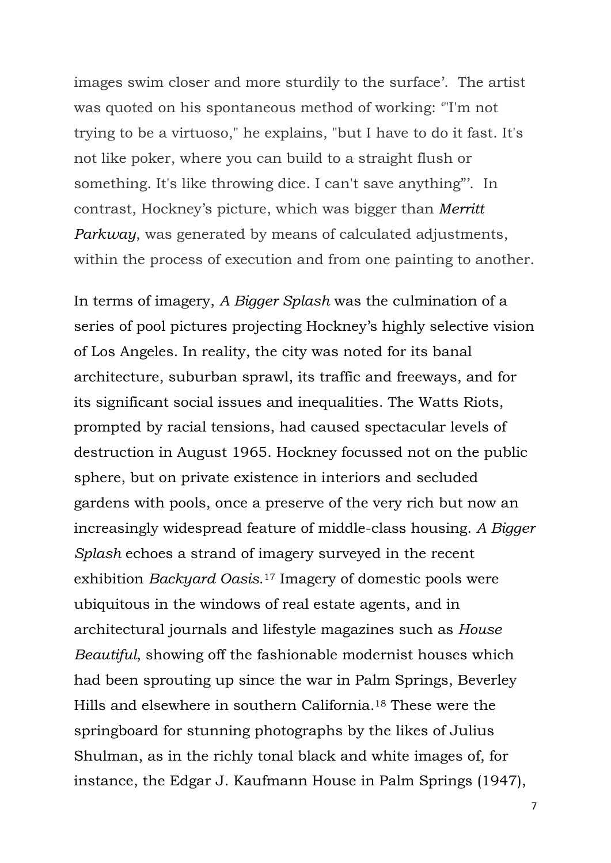images swim closer and more sturdily to the surface'. The artist was quoted on his spontaneous method of working: '"I'm not trying to be a virtuoso," he explains, "but I have to do it fast. It's not like poker, where you can build to a straight flush or something. It's like throwing dice. I can't save anything"'. In contrast, Hockney's picture, which was bigger than *Merritt Parkway*, was generated by means of calculated adjustments, within the process of execution and from one painting to another.

In terms of imagery, *A Bigger Splash* was the culmination of a series of pool pictures projecting Hockney's highly selective vision of Los Angeles. In reality, the city was noted for its banal architecture, suburban sprawl, its traffic and freeways, and for its significant social issues and inequalities. The Watts Riots, prompted by racial tensions, had caused spectacular levels of destruction in August 1965. Hockney focussed not on the public sphere, but on private existence in interiors and secluded gardens with pools, once a preserve of the very rich but now an increasingly widespread feature of middle-class housing. *A Bigger Splash* echoes a strand of imagery surveyed in the recent exhibition *Backyard Oasis*. <sup>17</sup> Imagery of domestic pools were ubiquitous in the windows of real estate agents, and in architectural journals and lifestyle magazines such as *House Beautiful*, showing off the fashionable modernist houses which had been sprouting up since the war in Palm Springs, Beverley Hills and elsewhere in southern California.18 These were the springboard for stunning photographs by the likes of Julius Shulman, as in the richly tonal black and white images of, for instance, the Edgar J. Kaufmann House in Palm Springs (1947),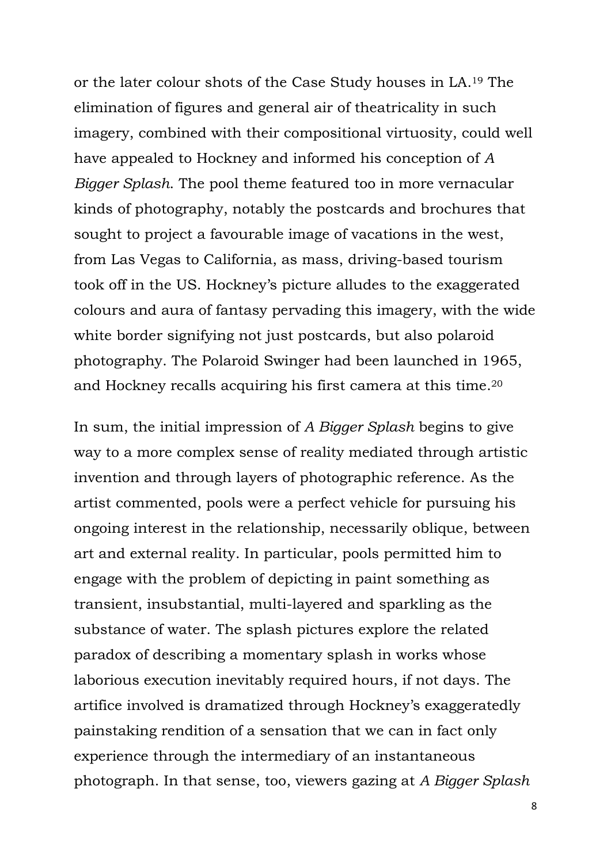or the later colour shots of the Case Study houses in LA.19 The elimination of figures and general air of theatricality in such imagery, combined with their compositional virtuosity, could well have appealed to Hockney and informed his conception of *A Bigger Splash*. The pool theme featured too in more vernacular kinds of photography, notably the postcards and brochures that sought to project a favourable image of vacations in the west, from Las Vegas to California, as mass, driving-based tourism took off in the US. Hockney's picture alludes to the exaggerated colours and aura of fantasy pervading this imagery, with the wide white border signifying not just postcards, but also polaroid photography. The Polaroid Swinger had been launched in 1965, and Hockney recalls acquiring his first camera at this time.<sup>20</sup>

In sum, the initial impression of *A Bigger Splash* begins to give way to a more complex sense of reality mediated through artistic invention and through layers of photographic reference. As the artist commented, pools were a perfect vehicle for pursuing his ongoing interest in the relationship, necessarily oblique, between art and external reality. In particular, pools permitted him to engage with the problem of depicting in paint something as transient, insubstantial, multi-layered and sparkling as the substance of water. The splash pictures explore the related paradox of describing a momentary splash in works whose laborious execution inevitably required hours, if not days. The artifice involved is dramatized through Hockney's exaggeratedly painstaking rendition of a sensation that we can in fact only experience through the intermediary of an instantaneous photograph. In that sense, too, viewers gazing at *A Bigger Splash*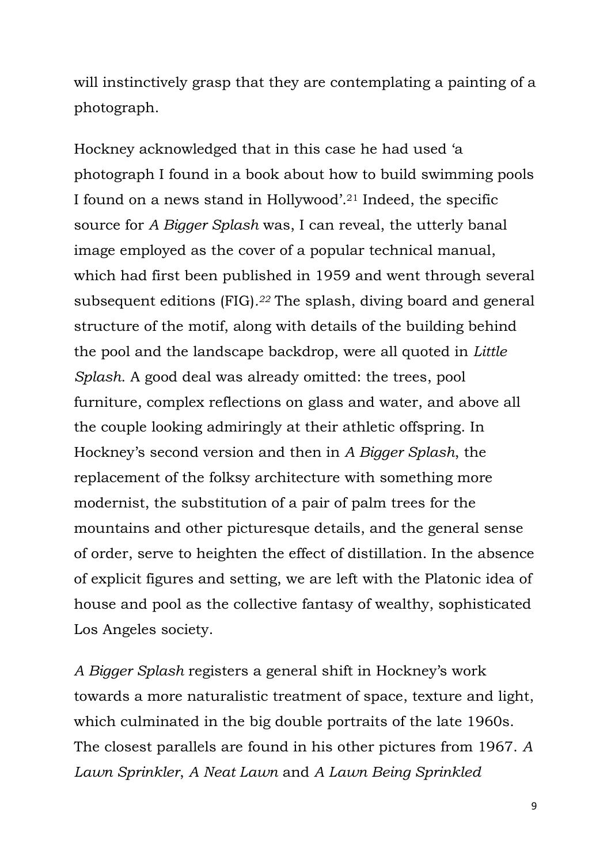will instinctively grasp that they are contemplating a painting of a photograph.

Hockney acknowledged that in this case he had used 'a photograph I found in a book about how to build swimming pools I found on a news stand in Hollywood'. <sup>21</sup> Indeed, the specific source for *A Bigger Splash* was, I can reveal, the utterly banal image employed as the cover of a popular technical manual, which had first been published in 1959 and went through several subsequent editions (FIG)*. <sup>22</sup>* The splash, diving board and general structure of the motif, along with details of the building behind the pool and the landscape backdrop, were all quoted in *Little Splash*. A good deal was already omitted: the trees, pool furniture, complex reflections on glass and water, and above all the couple looking admiringly at their athletic offspring. In Hockney's second version and then in *A Bigger Splash*, the replacement of the folksy architecture with something more modernist, the substitution of a pair of palm trees for the mountains and other picturesque details, and the general sense of order, serve to heighten the effect of distillation. In the absence of explicit figures and setting, we are left with the Platonic idea of house and pool as the collective fantasy of wealthy, sophisticated Los Angeles society.

*A Bigger Splash* registers a general shift in Hockney's work towards a more naturalistic treatment of space, texture and light, which culminated in the big double portraits of the late 1960s. The closest parallels are found in his other pictures from 1967. *A Lawn Sprinkler*, *A Neat Lawn* and *A Lawn Being Sprinkled*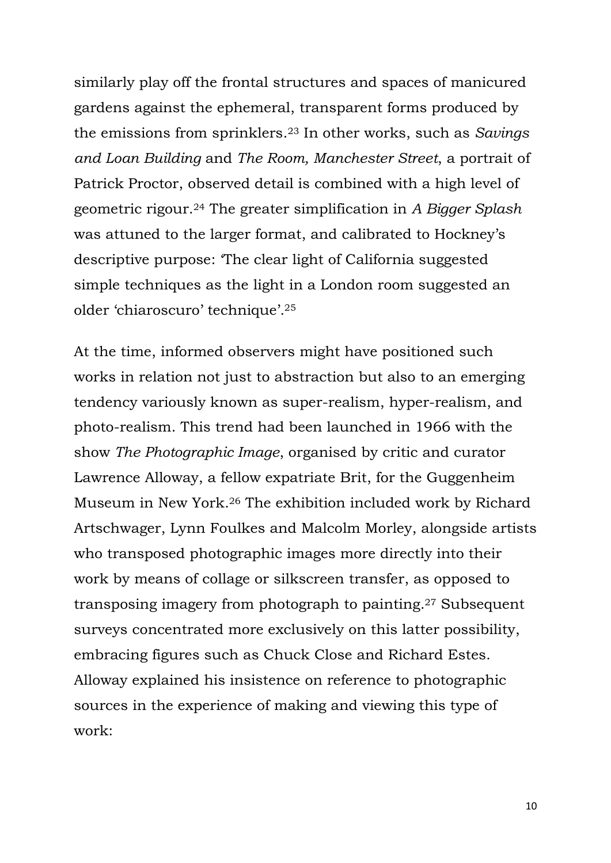similarly play off the frontal structures and spaces of manicured gardens against the ephemeral, transparent forms produced by the emissions from sprinklers.<sup>23</sup> In other works, such as *Savings and Loan Building* and *The Room, Manchester Street*, a portrait of Patrick Proctor, observed detail is combined with a high level of geometric rigour.24 The greater simplification in *A Bigger Splash* was attuned to the larger format, and calibrated to Hockney's descriptive purpose: 'The clear light of California suggested simple techniques as the light in a London room suggested an older 'chiaroscuro' technique'. <sup>25</sup>

At the time, informed observers might have positioned such works in relation not just to abstraction but also to an emerging tendency variously known as super-realism, hyper-realism, and photo-realism. This trend had been launched in 1966 with the show *The Photographic Image*, organised by critic and curator Lawrence Alloway, a fellow expatriate Brit, for the Guggenheim Museum in New York.<sup>26</sup> The exhibition included work by Richard Artschwager, Lynn Foulkes and Malcolm Morley, alongside artists who transposed photographic images more directly into their work by means of collage or silkscreen transfer, as opposed to transposing imagery from photograph to painting.27 Subsequent surveys concentrated more exclusively on this latter possibility, embracing figures such as Chuck Close and Richard Estes. Alloway explained his insistence on reference to photographic sources in the experience of making and viewing this type of work: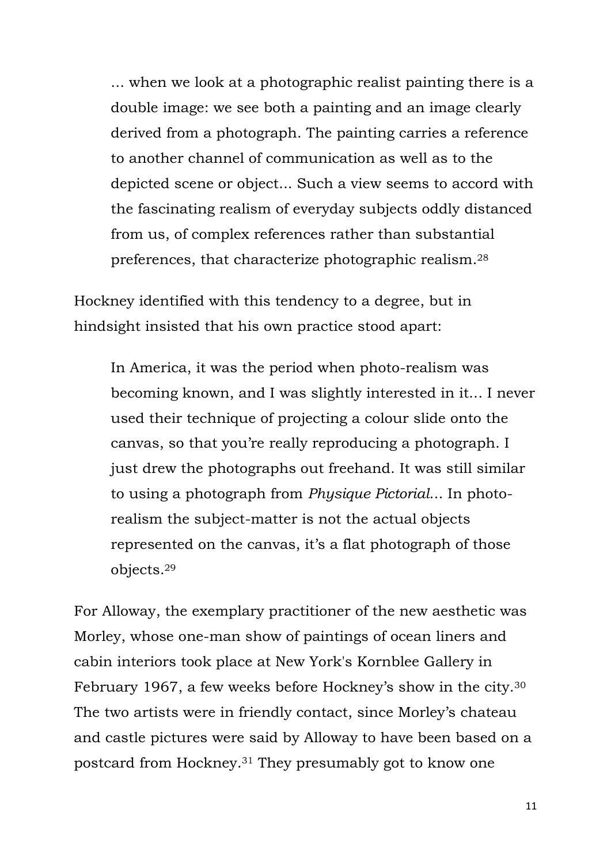... when we look at a photographic realist painting there is a double image: we see both a painting and an image clearly derived from a photograph. The painting carries a reference to another channel of communication as well as to the depicted scene or object... Such a view seems to accord with the fascinating realism of everyday subjects oddly distanced from us, of complex references rather than substantial preferences, that characterize photographic realism.<sup>28</sup>

Hockney identified with this tendency to a degree, but in hindsight insisted that his own practice stood apart:

In America, it was the period when photo-realism was becoming known, and I was slightly interested in it... I never used their technique of projecting a colour slide onto the canvas, so that you're really reproducing a photograph. I just drew the photographs out freehand. It was still similar to using a photograph from *Physique Pictorial*... In photorealism the subject-matter is not the actual objects represented on the canvas, it's a flat photograph of those objects.<sup>29</sup>

For Alloway, the exemplary practitioner of the new aesthetic was Morley, whose one-man show of paintings of ocean liners and cabin interiors took place at New York's Kornblee Gallery in February 1967, a few weeks before Hockney's show in the city.<sup>30</sup> The two artists were in friendly contact, since Morley's chateau and castle pictures were said by Alloway to have been based on a postcard from Hockney.31 They presumably got to know one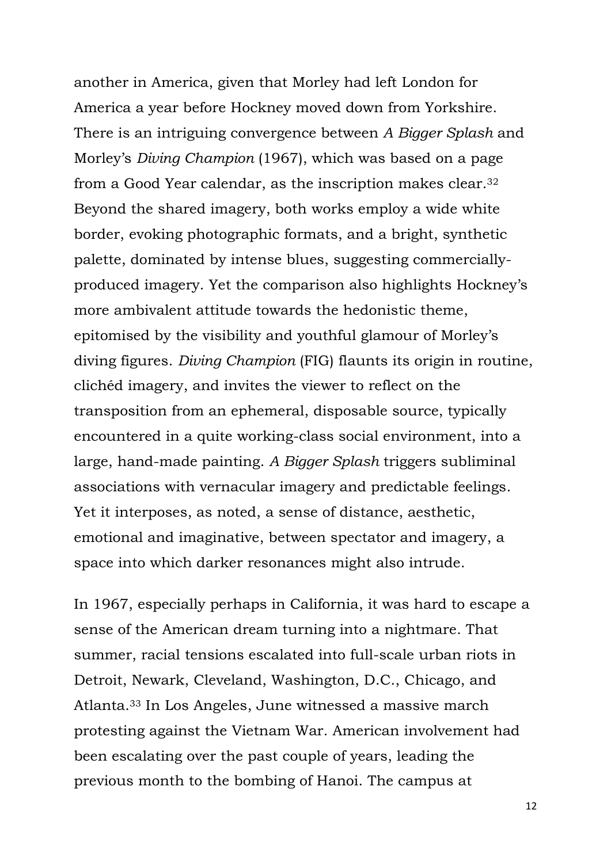another in America, given that Morley had left London for America a year before Hockney moved down from Yorkshire. There is an intriguing convergence between *A Bigger Splash* and Morley's *Diving Champion* (1967), which was based on a page from a Good Year calendar, as the inscription makes clear.<sup>32</sup> Beyond the shared imagery, both works employ a wide white border, evoking photographic formats, and a bright, synthetic palette, dominated by intense blues, suggesting commerciallyproduced imagery. Yet the comparison also highlights Hockney's more ambivalent attitude towards the hedonistic theme, epitomised by the visibility and youthful glamour of Morley's diving figures. *Diving Champion* (FIG) flaunts its origin in routine, cliched imagery, and invites the viewer to reflect on the transposition from an ephemeral, disposable source, typically encountered in a quite working-class social environment, into a large, hand-made painting. *A Bigger Splash* triggers subliminal associations with vernacular imagery and predictable feelings. Yet it interposes, as noted, a sense of distance, aesthetic, emotional and imaginative, between spectator and imagery, a space into which darker resonances might also intrude.

In 1967, especially perhaps in California, it was hard to escape a sense of the American dream turning into a nightmare. That summer, racial tensions escalated into full-scale urban riots in Detroit, Newark, Cleveland, Washington, D.C., Chicago, and Atlanta.33 In Los Angeles, June witnessed a massive march protesting against the Vietnam War. American involvement had been escalating over the past couple of years, leading the previous month to the bombing of Hanoi. The campus at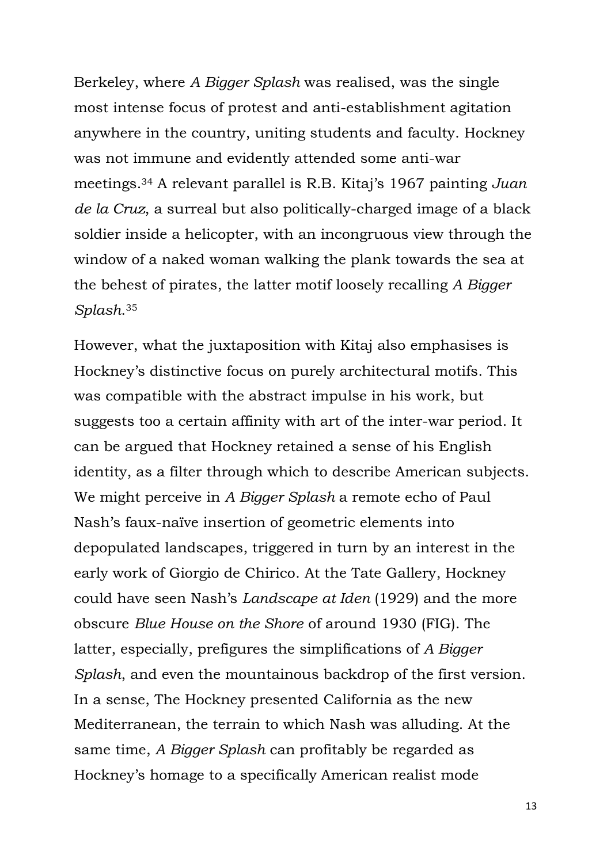Berkeley, where *A Bigger Splash* was realised, was the single most intense focus of protest and anti-establishment agitation anywhere in the country, uniting students and faculty. Hockney was not immune and evidently attended some anti-war meetings.34 A relevant parallel is R.B. Kitaj's 1967 painting *Juan de la Cruz*, a surreal but also politically-charged image of a black soldier inside a helicopter, with an incongruous view through the window of a naked woman walking the plank towards the sea at the behest of pirates, the latter motif loosely recalling *A Bigger Splash*. <sup>35</sup>

However, what the juxtaposition with Kitaj also emphasises is Hockney's distinctive focus on purely architectural motifs. This was compatible with the abstract impulse in his work, but suggests too a certain affinity with art of the inter-war period. It can be argued that Hockney retained a sense of his English identity, as a filter through which to describe American subjects. We might perceive in *A Bigger Splash* a remote echo of Paul Nash's faux-naïve insertion of geometric elements into depopulated landscapes, triggered in turn by an interest in the early work of Giorgio de Chirico. At the Tate Gallery, Hockney could have seen Nash's *Landscape at Iden* (1929) and the more obscure *Blue House on the Shore* of around 1930 (FIG). The latter, especially, prefigures the simplifications of *A Bigger Splash*, and even the mountainous backdrop of the first version. In a sense, The Hockney presented California as the new Mediterranean, the terrain to which Nash was alluding. At the same time, *A Bigger Splash* can profitably be regarded as Hockney's homage to a specifically American realist mode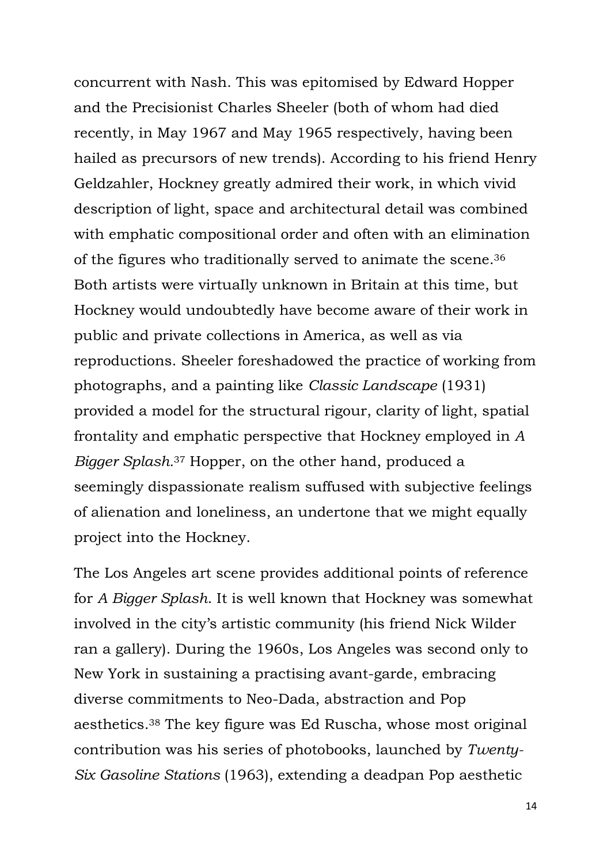concurrent with Nash. This was epitomised by Edward Hopper and the Precisionist Charles Sheeler (both of whom had died recently, in May 1967 and May 1965 respectively, having been hailed as precursors of new trends). According to his friend Henry Geldzahler, Hockney greatly admired their work, in which vivid description of light, space and architectural detail was combined with emphatic compositional order and often with an elimination of the figures who traditionally served to animate the scene.<sup>36</sup> Both artists were virtuaIly unknown in Britain at this time, but Hockney would undoubtedly have become aware of their work in public and private collections in America, as well as via reproductions. Sheeler foreshadowed the practice of working from photographs, and a painting like *Classic Landscape* (1931) provided a model for the structural rigour, clarity of light, spatial frontality and emphatic perspective that Hockney employed in *A Bigger Splash.*<sup>37</sup> Hopper, on the other hand, produced a seemingly dispassionate realism suffused with subjective feelings of alienation and loneliness, an undertone that we might equally project into the Hockney.

The Los Angeles art scene provides additional points of reference for *A Bigger Splash*. It is well known that Hockney was somewhat involved in the city's artistic community (his friend Nick Wilder ran a gallery). During the 1960s, Los Angeles was second only to New York in sustaining a practising avant-garde, embracing diverse commitments to Neo-Dada, abstraction and Pop aesthetics.38 The key figure was Ed Ruscha, whose most original contribution was his series of photobooks, launched by *Twenty-Six Gasoline Stations* (1963), extending a deadpan Pop aesthetic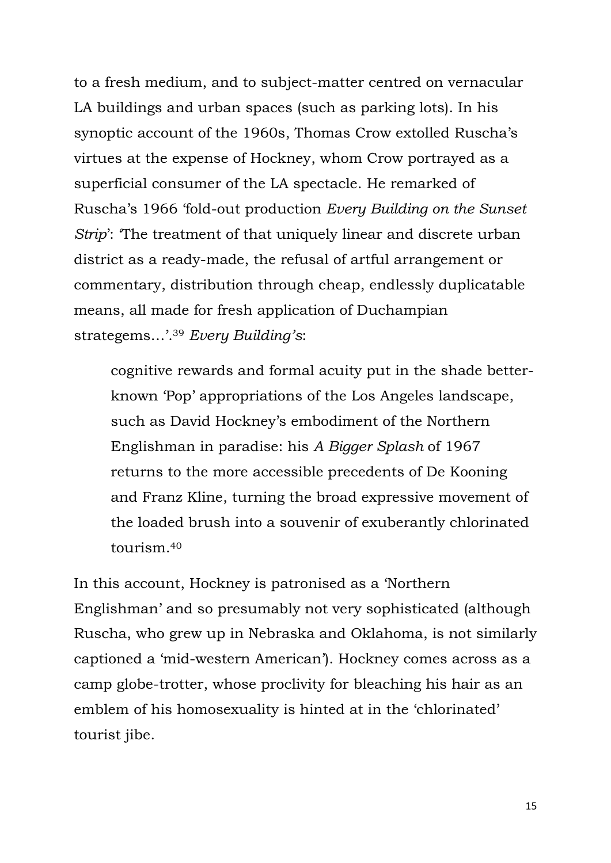to a fresh medium, and to subject-matter centred on vernacular LA buildings and urban spaces (such as parking lots). In his synoptic account of the 1960s, Thomas Crow extolled Ruscha's virtues at the expense of Hockney, whom Crow portrayed as a superficial consumer of the LA spectacle. He remarked of Ruscha's 1966 'fold-out production *Every Building on the Sunset Strip*': The treatment of that uniquely linear and discrete urban district as a ready-made, the refusal of artful arrangement or commentary, distribution through cheap, endlessly duplicatable means, all made for fresh application of Duchampian strategems…'. <sup>39</sup> *Every Building's*:

cognitive rewards and formal acuity put in the shade betterknown 'Pop' appropriations of the Los Angeles landscape, such as David Hockney's embodiment of the Northern Englishman in paradise: his *A Bigger Splash* of 1967 returns to the more accessible precedents of De Kooning and Franz Kline, turning the broad expressive movement of the loaded brush into a souvenir of exuberantly chlorinated tourism.<sup>40</sup>

In this account, Hockney is patronised as a 'Northern Englishman' and so presumably not very sophisticated (although Ruscha, who grew up in Nebraska and Oklahoma, is not similarly captioned a 'mid-western American'). Hockney comes across as a camp globe-trotter, whose proclivity for bleaching his hair as an emblem of his homosexuality is hinted at in the 'chlorinated' tourist jibe.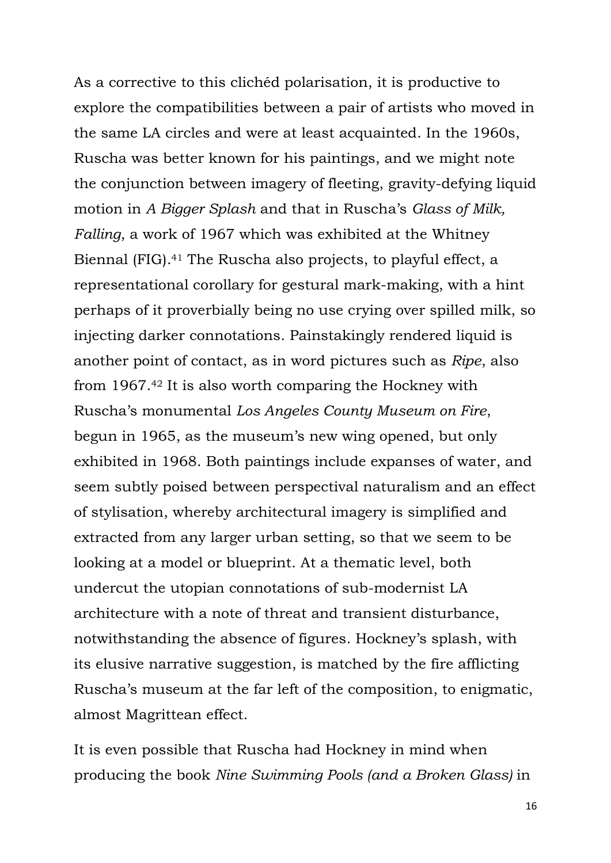As a corrective to this cliched polarisation, it is productive to explore the compatibilities between a pair of artists who moved in the same LA circles and were at least acquainted. In the 1960s, Ruscha was better known for his paintings, and we might note the conjunction between imagery of fleeting, gravity-defying liquid motion in *A Bigger Splash* and that in Ruscha's *Glass of Milk, Falling*, a work of 1967 which was exhibited at the Whitney Biennal (FIG).<sup>41</sup> The Ruscha also projects, to playful effect, a representational corollary for gestural mark-making, with a hint perhaps of it proverbially being no use crying over spilled milk, so injecting darker connotations. Painstakingly rendered liquid is another point of contact, as in word pictures such as *Ripe*, also from 1967.42 It is also worth comparing the Hockney with Ruscha's monumental *Los Angeles County Museum on Fire*, begun in 1965, as the museum's new wing opened, but only exhibited in 1968. Both paintings include expanses of water, and seem subtly poised between perspectival naturalism and an effect of stylisation, whereby architectural imagery is simplified and extracted from any larger urban setting, so that we seem to be looking at a model or blueprint. At a thematic level, both undercut the utopian connotations of sub-modernist LA architecture with a note of threat and transient disturbance, notwithstanding the absence of figures. Hockney's splash, with its elusive narrative suggestion, is matched by the fire afflicting Ruscha's museum at the far left of the composition, to enigmatic, almost Magrittean effect.

It is even possible that Ruscha had Hockney in mind when producing the book *Nine Swimming Pools (and a Broken Glass)* in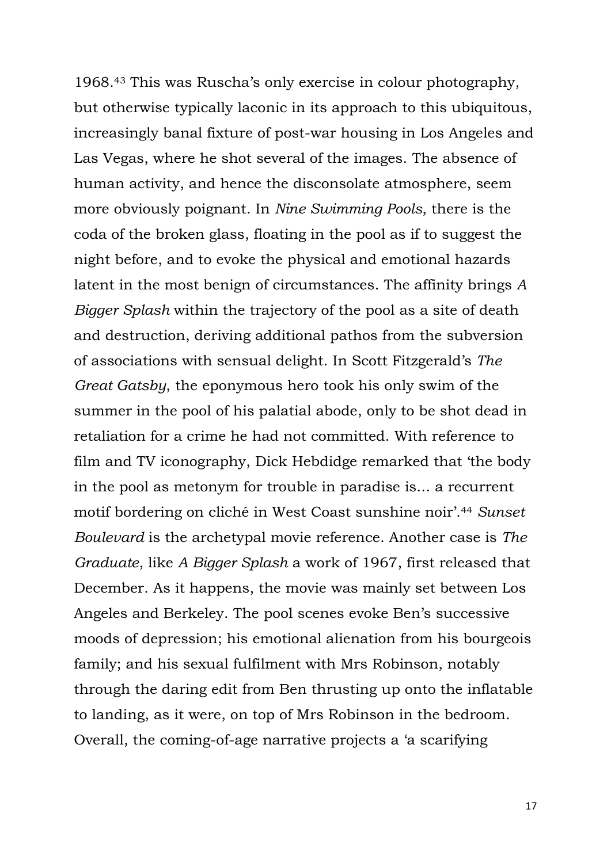1968.<sup>43</sup> This was Ruscha's only exercise in colour photography, but otherwise typically laconic in its approach to this ubiquitous, increasingly banal fixture of post-war housing in Los Angeles and Las Vegas, where he shot several of the images. The absence of human activity, and hence the disconsolate atmosphere, seem more obviously poignant. In *Nine Swimming Pools*, there is the coda of the broken glass, floating in the pool as if to suggest the night before, and to evoke the physical and emotional hazards latent in the most benign of circumstances. The affinity brings *A Bigger Splash* within the trajectory of the pool as a site of death and destruction, deriving additional pathos from the subversion of associations with sensual delight. In Scott Fitzgerald's *The Great Gatsby*, the eponymous hero took his only swim of the summer in the pool of his palatial abode, only to be shot dead in retaliation for a crime he had not committed. With reference to film and TV iconography, Dick Hebdidge remarked that 'the body in the pool as metonym for trouble in paradise is... a recurrent motif bordering on cliché in West Coast sunshine noir'.<sup>44</sup> *Sunset Boulevard* is the archetypal movie reference. Another case is *The Graduate*, like *A Bigger Splash* a work of 1967, first released that December. As it happens, the movie was mainly set between Los Angeles and Berkeley. The pool scenes evoke Ben's successive moods of depression; his emotional alienation from his bourgeois family; and his sexual fulfilment with Mrs Robinson, notably through the daring edit from Ben thrusting up onto the inflatable to landing, as it were, on top of Mrs Robinson in the bedroom. Overall, the coming-of-age narrative projects a 'a scarifying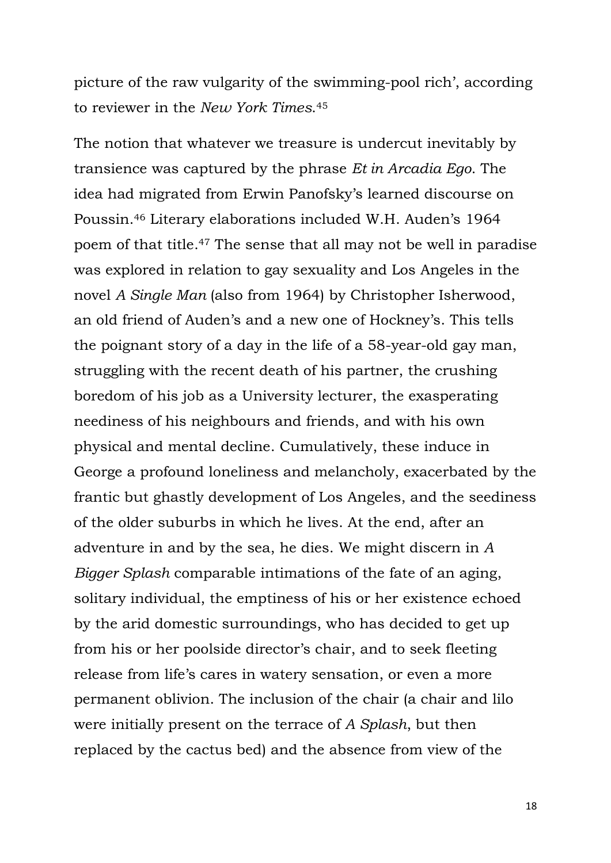picture of the raw vulgarity of the swimming-pool rich', according to reviewer in the *New York Times*. <sup>45</sup>

The notion that whatever we treasure is undercut inevitably by transience was captured by the phrase *Et in Arcadia Ego*. The idea had migrated from Erwin Panofsky's learned discourse on Poussin.46 Literary elaborations included W.H. Auden's 1964 poem of that title.47 The sense that all may not be well in paradise was explored in relation to gay sexuality and Los Angeles in the novel *A Single Man* (also from 1964) by Christopher Isherwood, an old friend of Auden's and a new one of Hockney's. This tells the poignant story of a day in the life of a 58-year-old gay man, struggling with the recent death of his partner, the crushing boredom of his job as a University lecturer, the exasperating neediness of his neighbours and friends, and with his own physical and mental decline. Cumulatively, these induce in George a profound loneliness and melancholy, exacerbated by the frantic but ghastly development of Los Angeles, and the seediness of the older suburbs in which he lives. At the end, after an adventure in and by the sea, he dies. We might discern in *A Bigger Splash* comparable intimations of the fate of an aging, solitary individual, the emptiness of his or her existence echoed by the arid domestic surroundings, who has decided to get up from his or her poolside director's chair, and to seek fleeting release from life's cares in watery sensation, or even a more permanent oblivion. The inclusion of the chair (a chair and lilo were initially present on the terrace of *A Splash*, but then replaced by the cactus bed) and the absence from view of the

18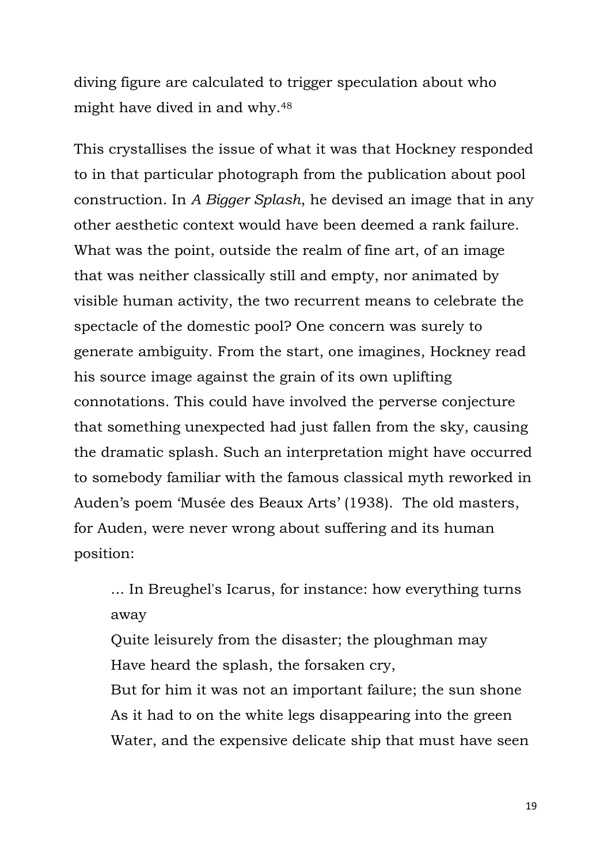diving figure are calculated to trigger speculation about who might have dived in and why.<sup>48</sup>

This crystallises the issue of what it was that Hockney responded to in that particular photograph from the publication about pool construction. In *A Bigger Splash*, he devised an image that in any other aesthetic context would have been deemed a rank failure. What was the point, outside the realm of fine art, of an image that was neither classically still and empty, nor animated by visible human activity, the two recurrent means to celebrate the spectacle of the domestic pool? One concern was surely to generate ambiguity. From the start, one imagines, Hockney read his source image against the grain of its own uplifting connotations. This could have involved the perverse conjecture that something unexpected had just fallen from the sky, causing the dramatic splash. Such an interpretation might have occurred to somebody familiar with the famous classical myth reworked in Auden's poem 'Musée des Beaux Arts' (1938). The old masters, for Auden, were never wrong about suffering and its human position:

... In Breughel's Icarus, for instance: how everything turns away

Quite leisurely from the disaster; the ploughman may Have heard the splash, the forsaken cry,

But for him it was not an important failure; the sun shone As it had to on the white legs disappearing into the green Water, and the expensive delicate ship that must have seen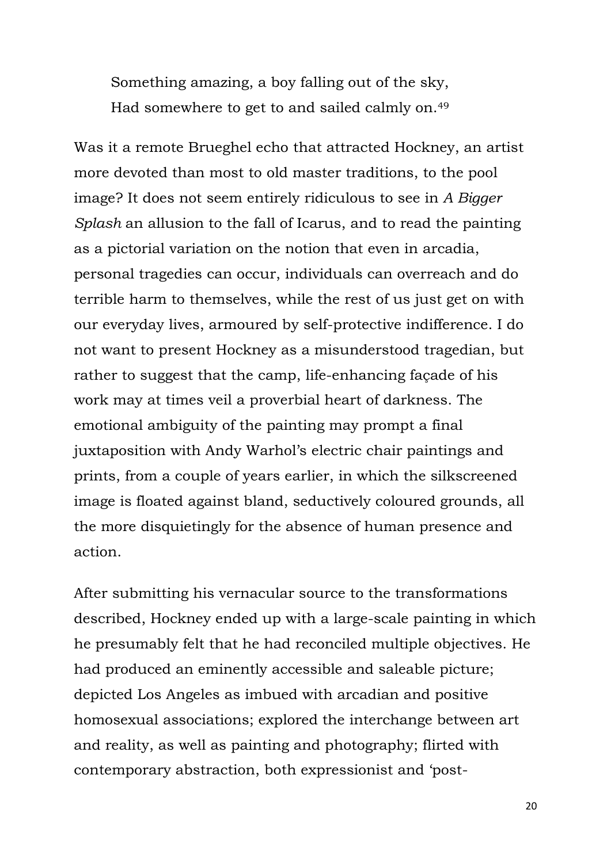Something amazing, a boy falling out of the sky, Had somewhere to get to and sailed calmly on.<sup>49</sup>

Was it a remote Brueghel echo that attracted Hockney, an artist more devoted than most to old master traditions, to the pool image? It does not seem entirely ridiculous to see in *A Bigger Splash* an allusion to the fall of Icarus, and to read the painting as a pictorial variation on the notion that even in arcadia, personal tragedies can occur, individuals can overreach and do terrible harm to themselves, while the rest of us just get on with our everyday lives, armoured by self-protective indifference. I do not want to present Hockney as a misunderstood tragedian, but rather to suggest that the camp, life-enhancing façade of his work may at times veil a proverbial heart of darkness. The emotional ambiguity of the painting may prompt a final juxtaposition with Andy Warhol's electric chair paintings and prints, from a couple of years earlier, in which the silkscreened image is floated against bland, seductively coloured grounds, all the more disquietingly for the absence of human presence and action.

After submitting his vernacular source to the transformations described, Hockney ended up with a large-scale painting in which he presumably felt that he had reconciled multiple objectives. He had produced an eminently accessible and saleable picture; depicted Los Angeles as imbued with arcadian and positive homosexual associations; explored the interchange between art and reality, as well as painting and photography; flirted with contemporary abstraction, both expressionist and 'post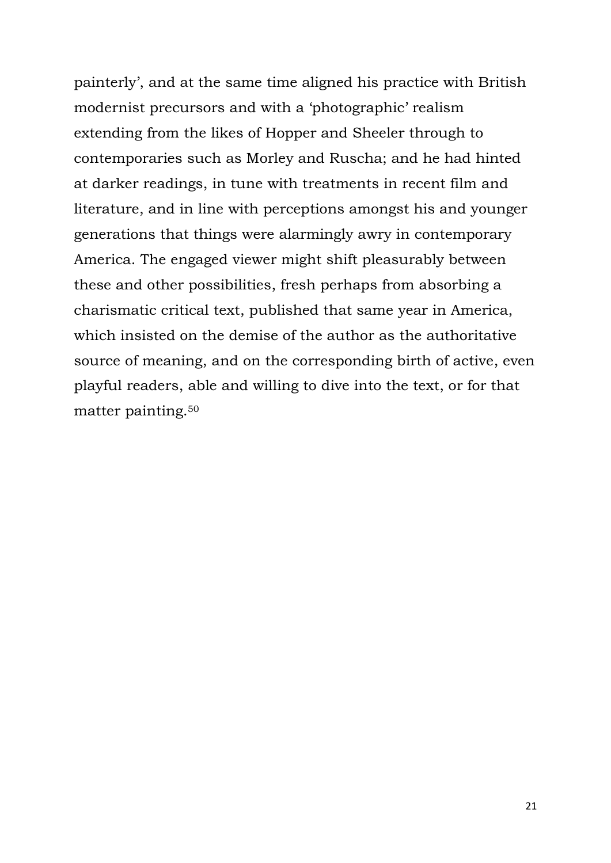painterly', and at the same time aligned his practice with British modernist precursors and with a 'photographic' realism extending from the likes of Hopper and Sheeler through to contemporaries such as Morley and Ruscha; and he had hinted at darker readings, in tune with treatments in recent film and literature, and in line with perceptions amongst his and younger generations that things were alarmingly awry in contemporary America. The engaged viewer might shift pleasurably between these and other possibilities, fresh perhaps from absorbing a charismatic critical text, published that same year in America, which insisted on the demise of the author as the authoritative source of meaning, and on the corresponding birth of active, even playful readers, able and willing to dive into the text, or for that matter painting.50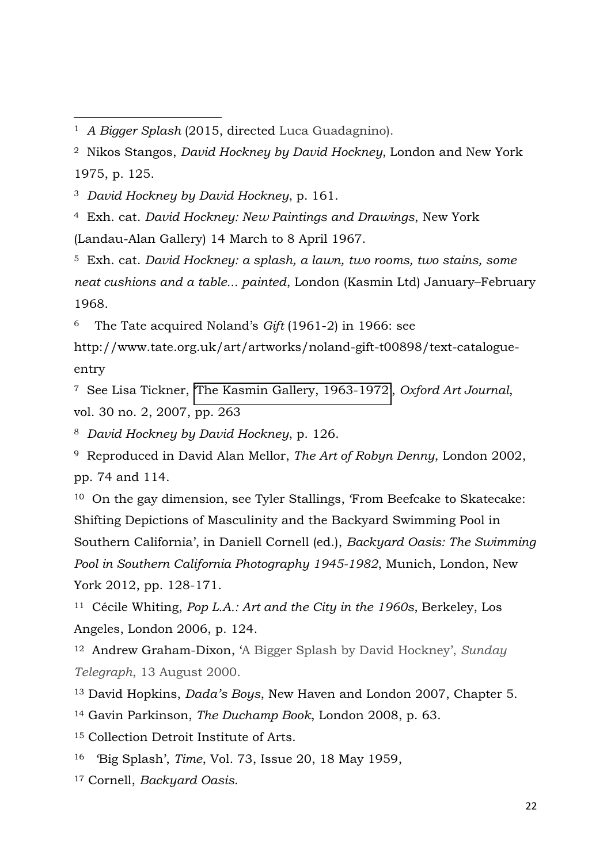<sup>3</sup> *David Hockney by David Hockney*, p. 161.

 $\overline{a}$ 

<sup>4</sup> Exh. cat. *David Hockney: New Paintings and Drawings*, New York (Landau-Alan Gallery) 14 March to 8 April 1967.

<sup>5</sup> Exh. cat. *David Hockney: a splash, a lawn, two rooms, two stains, some neat cushions and a table... painted*, London (Kasmin Ltd) January–February 1968.

<sup>6</sup> The Tate acquired Noland's *Gift* (1961-2) in 1966: see

http://www.tate.org.uk/art/artworks/noland-gift-t00898/text-catalogueentry

<sup>7</sup> See Lisa Tickner, '[The Kasmin Gallery, 1963-1972](http://oaj.oxfordjournals.org/cgi/content/short/30/2/233)', *Oxford Art Journal*, vol. 30 no. 2, 2007, pp. 263

<sup>8</sup> *David Hockney by David Hockney*, p. 126.

<sup>9</sup> Reproduced in David Alan Mellor, *The Art of Robyn Denny*, London 2002, pp. 74 and 114.

<sup>10</sup> On the gay dimension, see Tyler Stallings, 'From Beefcake to Skatecake: Shifting Depictions of Masculinity and the Backyard Swimming Pool in Southern California', in Daniell Cornell (ed.), *Backyard Oasis: The Swimming Pool in Southern California Photography 1945-1982*, Munich, London, New York 2012, pp. 128-171.

<sup>11</sup> CÈcile Whiting, *Pop L.A.: Art and the City in the 1960s*, Berkeley, Los Angeles, London 2006, p. 124.

<sup>12</sup> Andrew Graham-Dixon, 'A Bigger Splash by David Hockney', *Sunday Telegraph*, 13 August 2000.

<sup>13</sup> David Hopkins, *Dada's Boys*, New Haven and London 2007, Chapter 5.

<sup>14</sup> Gavin Parkinson, *The Duchamp Book*, London 2008, p. 63.

- <sup>15</sup> Collection Detroit Institute of Arts.
- <sup>16</sup> 'Big Splash', *Time*, Vol. 73, Issue 20, 18 May 1959,
- <sup>17</sup> Cornell, *Backyard Oasis.*

<sup>1</sup> *A Bigger Splash* (2015, directed Luca Guadagnino).

<sup>2</sup> Nikos Stangos, *David Hockney by David Hockney*, London and New York 1975, p. 125.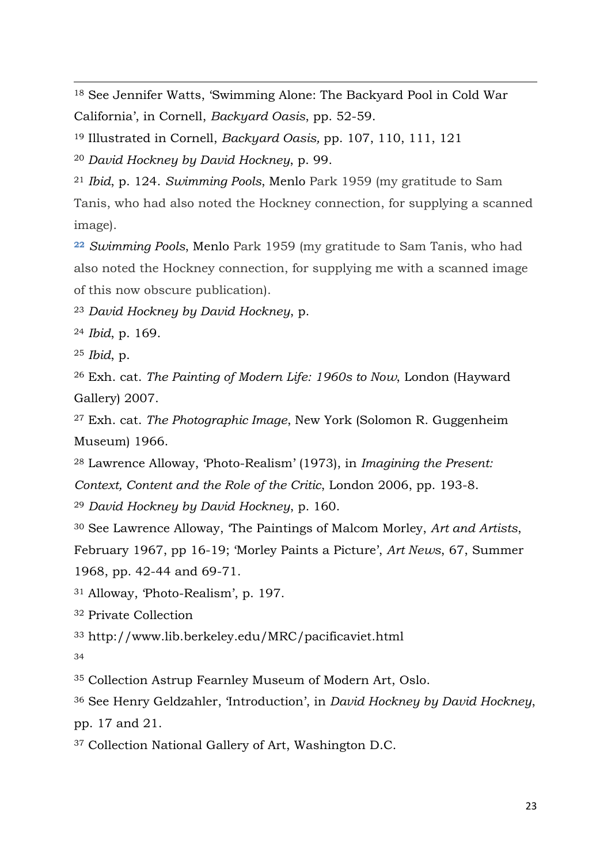See Jennifer Watts, 'Swimming Alone: The Backyard Pool in Cold War California', in Cornell, *Backyard Oasis*, pp. 52-59.

Illustrated in Cornell, *Backyard Oasis,* pp. 107, 110, 111, 121

 *David Hockney by David Hockney*, p. 99.

 *Ibid*, p. 124. *Swimming Pools*, Menlo Park 1959 (my gratitude to Sam Tanis, who had also noted the Hockney connection, for supplying a scanned image).

 *Swimming Pools*, Menlo Park 1959 (my gratitude to Sam Tanis, who had also noted the Hockney connection, for supplying me with a scanned image of this now obscure publication).

*David Hockney by David Hockney*, p.

*Ibid*, p. 169.

*Ibid*, p.

 $\overline{a}$ 

 Exh. cat. *The Painting of Modern Life: 1960s to Now*, London (Hayward Gallery) 2007.

 Exh. cat. *The Photographic Image*, New York (Solomon R. Guggenheim Museum) 1966.

Lawrence Alloway, 'Photo-Realism' (1973), in *Imagining the Present:* 

*Context, Content and the Role of the Critic*, London 2006, pp. 193-8.

*David Hockney by David Hockney*, p. 160.

 See Lawrence Alloway, 'The Paintings of Malcom Morley, *Art and Artists*, February 1967, pp 16-19; 'Morley Paints a Picture', *Art News*, 67, Summer 1968, pp. 42-44 and 69-71.

Alloway, 'Photo-Realism', p. 197.

Private Collection

http://www.lib.berkeley.edu/MRC/pacificaviet.html

Collection Astrup Fearnley Museum of Modern Art, Oslo.

 See Henry Geldzahler, 'Introduction', in *David Hockney by David Hockney*, pp. 17 and 21.

Collection National Gallery of Art, Washington D.C.